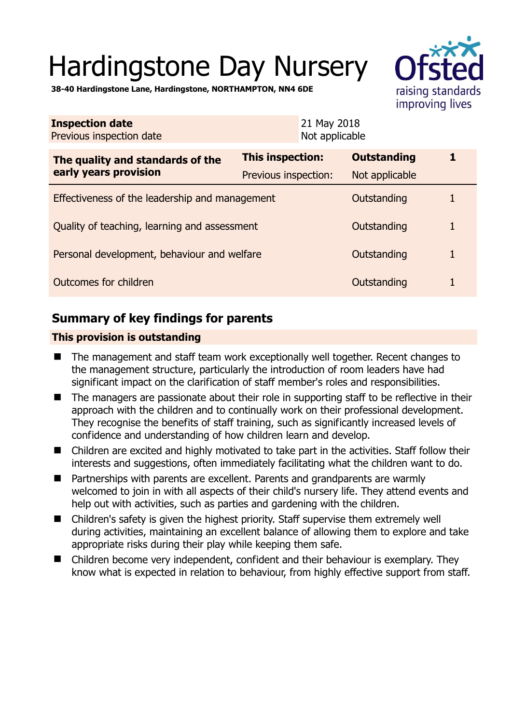# Hardingstone Day Nursery



**38-40 Hardingstone Lane, Hardingstone, NORTHAMPTON, NN4 6DE** 

| <b>Inspection date</b><br>Previous inspection date        | 21 May 2018<br>Not applicable |                    |   |
|-----------------------------------------------------------|-------------------------------|--------------------|---|
| The quality and standards of the<br>early years provision | <b>This inspection:</b>       | <b>Outstanding</b> | 1 |
|                                                           | Previous inspection:          | Not applicable     |   |
| Effectiveness of the leadership and management            |                               | Outstanding        |   |
| Quality of teaching, learning and assessment              |                               | Outstanding        | 1 |
| Personal development, behaviour and welfare               |                               | Outstanding        |   |
| Outcomes for children                                     |                               | Outstanding        |   |

# **Summary of key findings for parents**

## **This provision is outstanding**

- The management and staff team work exceptionally well together. Recent changes to the management structure, particularly the introduction of room leaders have had significant impact on the clarification of staff member's roles and responsibilities.
- The managers are passionate about their role in supporting staff to be reflective in their approach with the children and to continually work on their professional development. They recognise the benefits of staff training, such as significantly increased levels of confidence and understanding of how children learn and develop.
- Children are excited and highly motivated to take part in the activities. Staff follow their interests and suggestions, often immediately facilitating what the children want to do.
- Partnerships with parents are excellent. Parents and grandparents are warmly welcomed to join in with all aspects of their child's nursery life. They attend events and help out with activities, such as parties and gardening with the children.
- Children's safety is given the highest priority. Staff supervise them extremely well during activities, maintaining an excellent balance of allowing them to explore and take appropriate risks during their play while keeping them safe.
- Children become very independent, confident and their behaviour is exemplary. They know what is expected in relation to behaviour, from highly effective support from staff.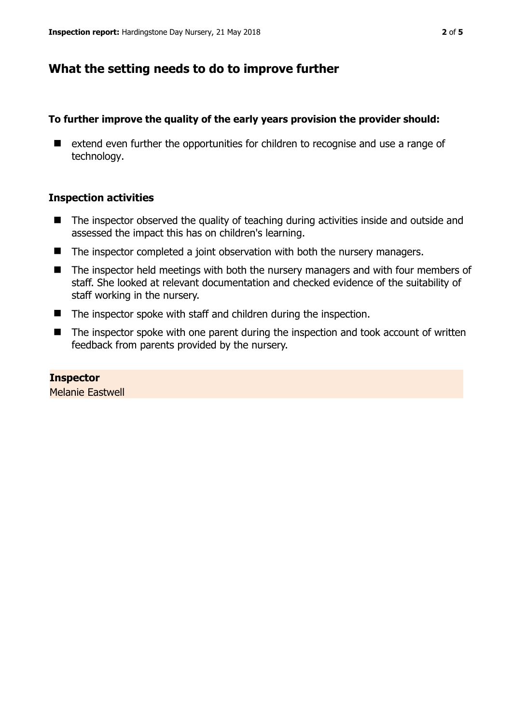## **What the setting needs to do to improve further**

#### **To further improve the quality of the early years provision the provider should:**

■ extend even further the opportunities for children to recognise and use a range of technology.

#### **Inspection activities**

- The inspector observed the quality of teaching during activities inside and outside and assessed the impact this has on children's learning.
- The inspector completed a joint observation with both the nursery managers.
- The inspector held meetings with both the nursery managers and with four members of staff. She looked at relevant documentation and checked evidence of the suitability of staff working in the nursery.
- The inspector spoke with staff and children during the inspection.
- The inspector spoke with one parent during the inspection and took account of written feedback from parents provided by the nursery.

# **Inspector**

Melanie Eastwell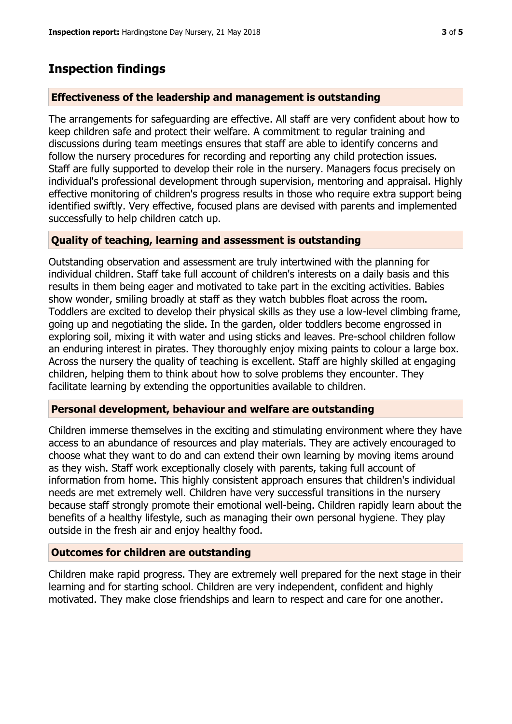## **Inspection findings**

## **Effectiveness of the leadership and management is outstanding**

The arrangements for safeguarding are effective. All staff are very confident about how to keep children safe and protect their welfare. A commitment to regular training and discussions during team meetings ensures that staff are able to identify concerns and follow the nursery procedures for recording and reporting any child protection issues. Staff are fully supported to develop their role in the nursery. Managers focus precisely on individual's professional development through supervision, mentoring and appraisal. Highly effective monitoring of children's progress results in those who require extra support being identified swiftly. Very effective, focused plans are devised with parents and implemented successfully to help children catch up.

## **Quality of teaching, learning and assessment is outstanding**

Outstanding observation and assessment are truly intertwined with the planning for individual children. Staff take full account of children's interests on a daily basis and this results in them being eager and motivated to take part in the exciting activities. Babies show wonder, smiling broadly at staff as they watch bubbles float across the room. Toddlers are excited to develop their physical skills as they use a low-level climbing frame, going up and negotiating the slide. In the garden, older toddlers become engrossed in exploring soil, mixing it with water and using sticks and leaves. Pre-school children follow an enduring interest in pirates. They thoroughly enjoy mixing paints to colour a large box. Across the nursery the quality of teaching is excellent. Staff are highly skilled at engaging children, helping them to think about how to solve problems they encounter. They facilitate learning by extending the opportunities available to children.

## **Personal development, behaviour and welfare are outstanding**

Children immerse themselves in the exciting and stimulating environment where they have access to an abundance of resources and play materials. They are actively encouraged to choose what they want to do and can extend their own learning by moving items around as they wish. Staff work exceptionally closely with parents, taking full account of information from home. This highly consistent approach ensures that children's individual needs are met extremely well. Children have very successful transitions in the nursery because staff strongly promote their emotional well-being. Children rapidly learn about the benefits of a healthy lifestyle, such as managing their own personal hygiene. They play outside in the fresh air and enjoy healthy food.

## **Outcomes for children are outstanding**

Children make rapid progress. They are extremely well prepared for the next stage in their learning and for starting school. Children are very independent, confident and highly motivated. They make close friendships and learn to respect and care for one another.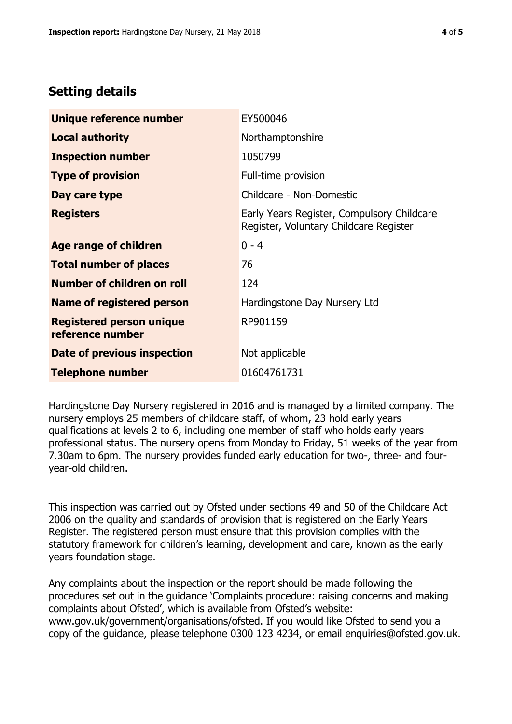# **Setting details**

| Unique reference number                             | EY500046                                                                             |  |
|-----------------------------------------------------|--------------------------------------------------------------------------------------|--|
| <b>Local authority</b>                              | Northamptonshire                                                                     |  |
| <b>Inspection number</b>                            | 1050799                                                                              |  |
| <b>Type of provision</b>                            | Full-time provision                                                                  |  |
| Day care type                                       | Childcare - Non-Domestic                                                             |  |
| <b>Registers</b>                                    | Early Years Register, Compulsory Childcare<br>Register, Voluntary Childcare Register |  |
| <b>Age range of children</b>                        | $0 - 4$                                                                              |  |
| <b>Total number of places</b>                       | 76                                                                                   |  |
| Number of children on roll                          | 124                                                                                  |  |
| Name of registered person                           | Hardingstone Day Nursery Ltd                                                         |  |
| <b>Registered person unique</b><br>reference number | RP901159                                                                             |  |
| <b>Date of previous inspection</b>                  | Not applicable                                                                       |  |
| <b>Telephone number</b>                             | 01604761731                                                                          |  |

Hardingstone Day Nursery registered in 2016 and is managed by a limited company. The nursery employs 25 members of childcare staff, of whom, 23 hold early years qualifications at levels 2 to 6, including one member of staff who holds early years professional status. The nursery opens from Monday to Friday, 51 weeks of the year from 7.30am to 6pm. The nursery provides funded early education for two-, three- and fouryear-old children.

This inspection was carried out by Ofsted under sections 49 and 50 of the Childcare Act 2006 on the quality and standards of provision that is registered on the Early Years Register. The registered person must ensure that this provision complies with the statutory framework for children's learning, development and care, known as the early years foundation stage.

Any complaints about the inspection or the report should be made following the procedures set out in the guidance 'Complaints procedure: raising concerns and making complaints about Ofsted', which is available from Ofsted's website: www.gov.uk/government/organisations/ofsted. If you would like Ofsted to send you a copy of the guidance, please telephone 0300 123 4234, or email enquiries@ofsted.gov.uk.